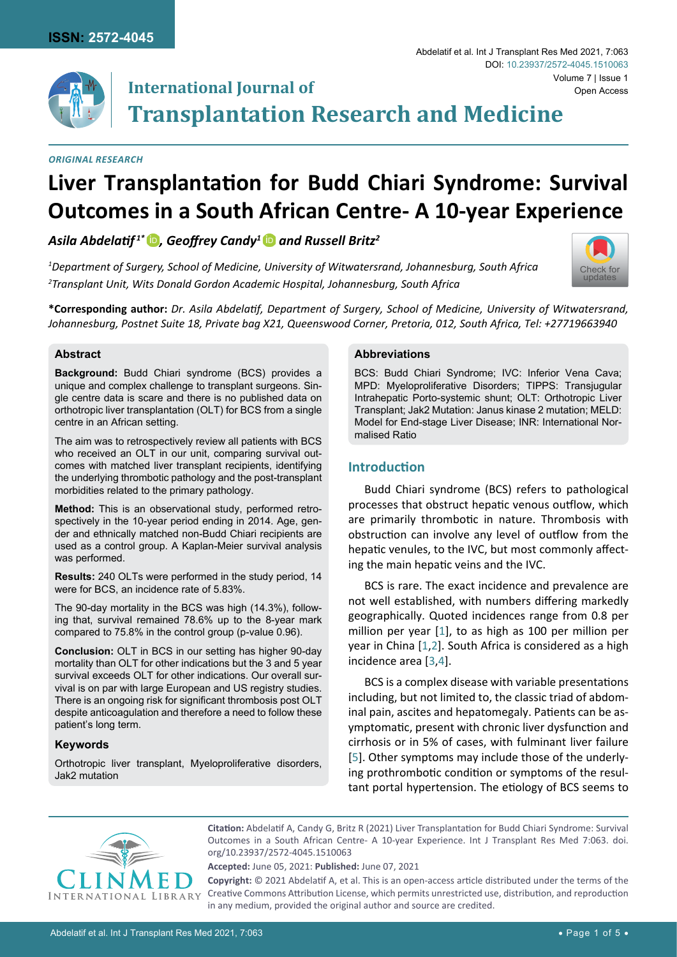

#### *Original Research*

# **Liver Transplantation for Budd Chiari Syndrome: Survival Outcomes in a South African Centre- A 10-year Experience**

# *Asila Abdelatif<sup>1\*</sup> D, Geoffrey Candy<sup>1</sup> D and Russell Britz<sup>2</sup>*

*1 Department of Surgery, School of Medicine, University of Witwatersrand, Johannesburg, South Africa 2 Transplant Unit, Wits Donald Gordon Academic Hospital, Johannesburg, South Africa*



#### **Abstract**

**Background:** Budd Chiari syndrome (BCS) provides a unique and complex challenge to transplant surgeons. Single centre data is scare and there is no published data on orthotropic liver transplantation (OLT) for BCS from a single centre in an African setting.

The aim was to retrospectively review all patients with BCS who received an OLT in our unit, comparing survival outcomes with matched liver transplant recipients, identifying the underlying thrombotic pathology and the post-transplant morbidities related to the primary pathology.

**Method:** This is an observational study, performed retrospectively in the 10-year period ending in 2014. Age, gender and ethnically matched non-Budd Chiari recipients are used as a control group. A Kaplan-Meier survival analysis was performed.

**Results:** 240 OLTs were performed in the study period, 14 were for BCS, an incidence rate of 5.83%.

The 90-day mortality in the BCS was high (14.3%), following that, survival remained 78.6% up to the 8-year mark compared to 75.8% in the control group (p-value 0.96).

**Conclusion:** OLT in BCS in our setting has higher 90-day mortality than OLT for other indications but the 3 and 5 year survival exceeds OLT for other indications. Our overall survival is on par with large European and US registry studies. There is an ongoing risk for significant thrombosis post OLT despite anticoagulation and therefore a need to follow these patient's long term.

### **Keywords**

Orthotropic liver transplant, Myeloproliferative disorders, Jak2 mutation

#### **Abbreviations**

BCS: Budd Chiari Syndrome; IVC: Inferior Vena Cava; MPD: Myeloproliferative Disorders; TIPPS: Transjugular Intrahepatic Porto-systemic shunt; OLT: Orthotropic Liver Transplant; Jak2 Mutation: Janus kinase 2 mutation; MELD: Model for End-stage Liver Disease; INR: International Normalised Ratio

Abdelatif et al. Int J Transplant Res Med 2021, 7:063

[Check for](http://crossmark.crossref.org/dialog/?doi=10.23937/2572-4045.1510063&domain=pdf) updates

# **Introduction**

Budd Chiari syndrome (BCS) refers to pathological processes that obstruct hepatic venous outflow, which are primarily thrombotic in nature. Thrombosis with obstruction can involve any level of outflow from the hepatic venules, to the IVC, but most commonly affecting the main hepatic veins and the IVC.

BCS is rare. The exact incidence and prevalence are not well established, with numbers differing markedly geographically. Quoted incidences range from 0.8 per million per year [\[1\]](#page-4-0), to as high as 100 per million per year in China [\[1](#page-4-0)[,2](#page-4-1)]. South Africa is considered as a high incidence area [\[3](#page-4-2)[,4](#page-4-3)].

BCS is a complex disease with variable presentations including, but not limited to, the classic triad of abdominal pain, ascites and hepatomegaly. Patients can be asymptomatic, present with chronic liver dysfunction and cirrhosis or in 5% of cases, with fulminant liver failure [[5](#page-4-4)]. Other symptoms may include those of the underlying prothrombotic condition or symptoms of the resultant portal hypertension. The etiology of BCS seems to



**Citation:** Abdelatif A, Candy G, Britz R (2021) Liver Transplantation for Budd Chiari Syndrome: Survival Outcomes in a South African Centre- A 10-year Experience. Int J Transplant Res Med 7:063. [doi.](https://doi.org/10.23937/2572-4045.1510063) [org/10.23937/2572-4045.1510063](https://doi.org/10.23937/2572-4045.1510063)

**Accepted:** June 05, 2021: **Published:** June 07, 2021

**Copyright:** © 2021 Abdelatif A, et al. This is an open-access article distributed under the terms of the Creative Commons Attribution License, which permits unrestricted use, distribution, and reproduction in any medium, provided the original author and source are credited.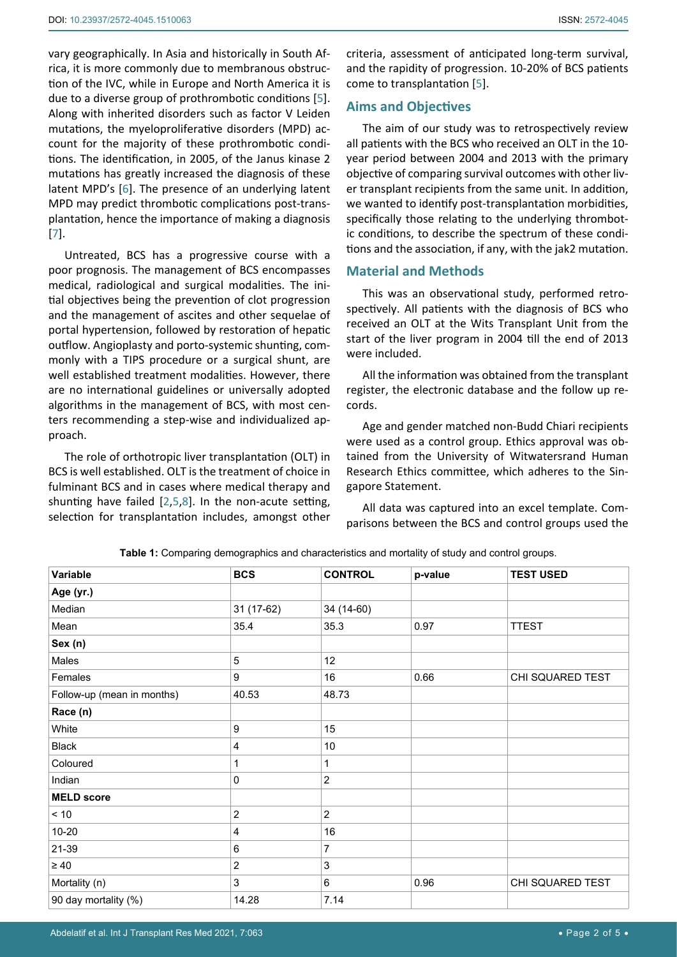vary geographically. In Asia and historically in South Africa, it is more commonly due to membranous obstruction of the IVC, while in Europe and North America it is due to a diverse group of prothrombotic conditions [[5](#page-4-4)]. Along with inherited disorders such as factor V Leiden mutations, the myeloproliferative disorders (MPD) account for the majority of these prothrombotic conditions. The identification, in 2005, of the Janus kinase 2 mutations has greatly increased the diagnosis of these latent MPD's [[6](#page-4-5)]. The presence of an underlying latent MPD may predict thrombotic complications post-transplantation, hence the importance of making a diagnosis [[7](#page-4-6)].

Untreated, BCS has a progressive course with a poor prognosis. The management of BCS encompasses medical, radiological and surgical modalities. The initial objectives being the prevention of clot progression and the management of ascites and other sequelae of portal hypertension, followed by restoration of hepatic outflow. Angioplasty and porto-systemic shunting, commonly with a TIPS procedure or a surgical shunt, are well established treatment modalities. However, there are no international guidelines or universally adopted algorithms in the management of BCS, with most centers recommending a step-wise and individualized approach.

The role of orthotropic liver transplantation (OLT) in BCS is well established. OLT is the treatment of choice in fulminant BCS and in cases where medical therapy and shunting have failed [[2](#page-4-1),[5](#page-4-4)[,8\]](#page-4-7). In the non-acute setting, selection for transplantation includes, amongst other

criteria, assessment of anticipated long-term survival, and the rapidity of progression. 10-20% of BCS patients come to transplantation [[5](#page-4-4)].

# **Aims and Objectives**

The aim of our study was to retrospectively review all patients with the BCS who received an OLT in the 10 year period between 2004 and 2013 with the primary objective of comparing survival outcomes with other liver transplant recipients from the same unit. In addition, we wanted to identify post-transplantation morbidities, specifically those relating to the underlying thrombotic conditions, to describe the spectrum of these conditions and the association, if any, with the jak2 mutation.

## **Material and Methods**

This was an observational study, performed retrospectively. All patients with the diagnosis of BCS who received an OLT at the Wits Transplant Unit from the start of the liver program in 2004 till the end of 2013 were included.

All the information was obtained from the transplant register, the electronic database and the follow up records.

Age and gender matched non-Budd Chiari recipients were used as a control group. Ethics approval was obtained from the University of Witwatersrand Human Research Ethics committee, which adheres to the Singapore Statement.

All data was captured into an excel template. Comparisons between the BCS and control groups used the

| Variable                   | <b>BCS</b>              | <b>CONTROL</b>            | p-value | <b>TEST USED</b> |
|----------------------------|-------------------------|---------------------------|---------|------------------|
| Age (yr.)                  |                         |                           |         |                  |
| Median                     | 31 (17-62)              | 34 (14-60)                |         |                  |
| Mean                       | 35.4                    | 35.3                      | 0.97    | <b>TTEST</b>     |
| Sex (n)                    |                         |                           |         |                  |
| Males                      | 5                       | 12 <sub>2</sub>           |         |                  |
| Females                    | 9                       | 16                        | 0.66    | CHI SQUARED TEST |
| Follow-up (mean in months) | 40.53                   | 48.73                     |         |                  |
| Race (n)                   |                         |                           |         |                  |
| White                      | 9                       | 15                        |         |                  |
| <b>Black</b>               | $\overline{\mathbf{4}}$ | 10                        |         |                  |
| Coloured                   | 1                       | 1                         |         |                  |
| Indian                     | 0                       | $\sqrt{2}$                |         |                  |
| <b>MELD</b> score          |                         |                           |         |                  |
| $<10$                      | $\overline{c}$          | $\overline{2}$            |         |                  |
| $10 - 20$                  | $\overline{4}$          | 16                        |         |                  |
| 21-39                      | 6                       | 7                         |         |                  |
| $\geq 40$                  | $\overline{\mathbf{c}}$ | $\ensuremath{\mathsf{3}}$ |         |                  |
| Mortality (n)              | 3                       | 6                         | 0.96    | CHI SQUARED TEST |
| 90 day mortality (%)       | 14.28                   | 7.14                      |         |                  |

<span id="page-1-0"></span>**Table 1:** Comparing demographics and characteristics and mortality of study and control groups.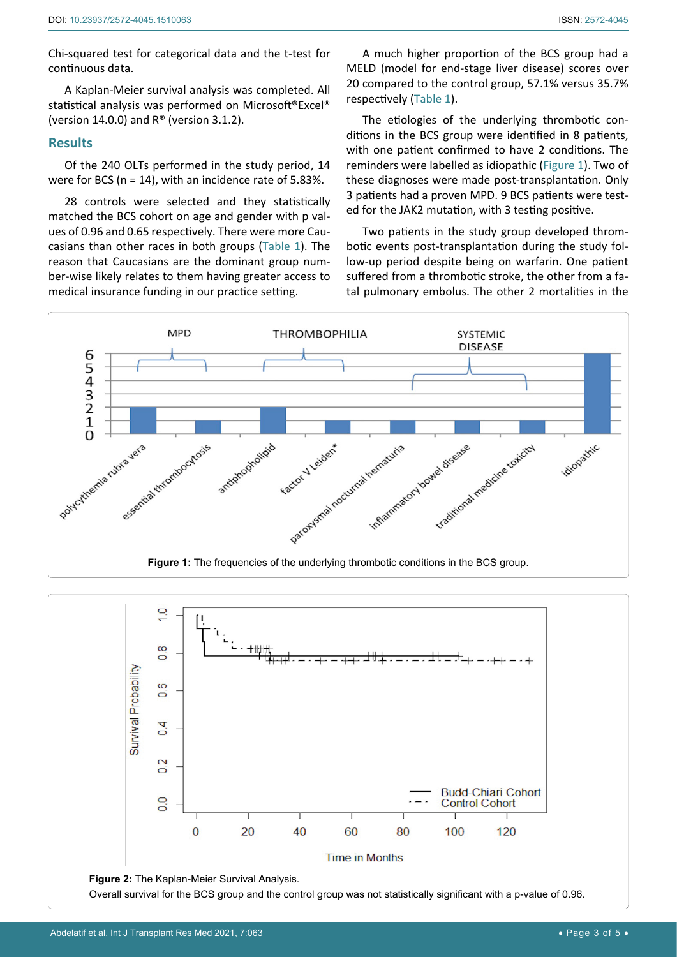Chi-squared test for categorical data and the t-test for continuous data.

A Kaplan-Meier survival analysis was completed. All statistical analysis was performed on Microsoft**®**Excel® (version 14.0.0) and  $R^{\circ}$  (version 3.1.2).

## **Results**

Of the 240 OLTs performed in the study period, 14 were for BCS (n = 14), with an incidence rate of 5.83%.

28 controls were selected and they statistically matched the BCS cohort on age and gender with p values of 0.96 and 0.65 respectively. There were more Caucasians than other races in both groups ([Table 1](#page-1-0)). The reason that Caucasians are the dominant group number-wise likely relates to them having greater access to medical insurance funding in our practice setting.

A much higher proportion of the BCS group had a MELD (model for end-stage liver disease) scores over 20 compared to the control group, 57.1% versus 35.7% respectively [\(Table 1\)](#page-1-0).

The etiologies of the underlying thrombotic conditions in the BCS group were identified in 8 patients, with one patient confirmed to have 2 conditions. The reminders were labelled as idiopathic ([Figure 1\)](#page-2-0). Two of these diagnoses were made post-transplantation. Only 3 patients had a proven MPD. 9 BCS patients were tested for the JAK2 mutation, with 3 testing positive.

Two patients in the study group developed thrombotic events post-transplantation during the study follow-up period despite being on warfarin. One patient suffered from a thrombotic stroke, the other from a fatal pulmonary embolus. The other 2 mortalities in the

<span id="page-2-0"></span>

<span id="page-2-1"></span>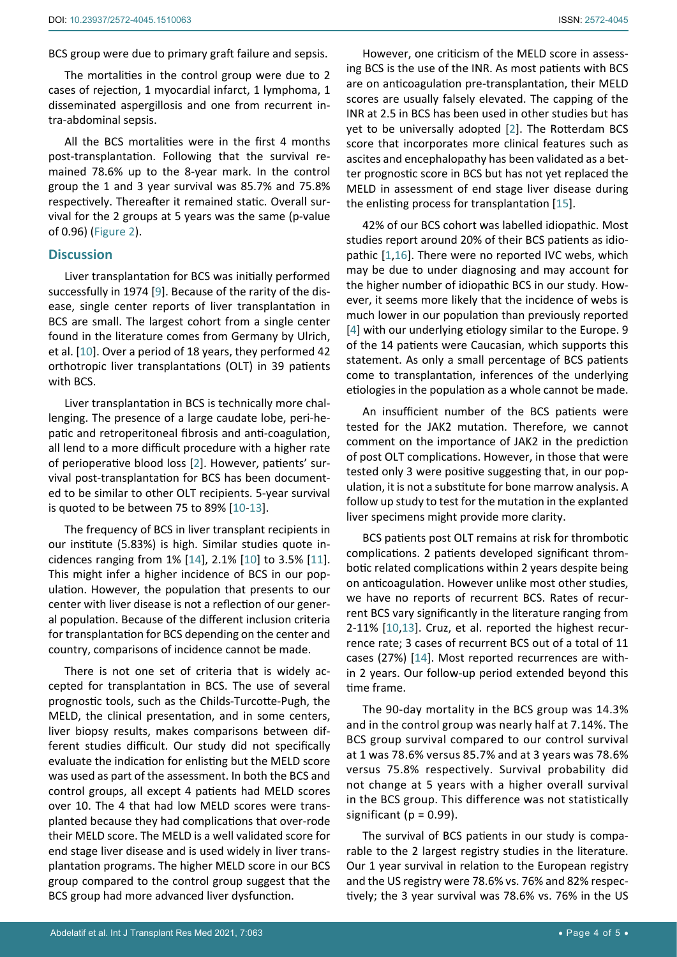BCS group were due to primary graft failure and sepsis.

The mortalities in the control group were due to 2 cases of rejection, 1 myocardial infarct, 1 lymphoma, 1 disseminated aspergillosis and one from recurrent intra-abdominal sepsis.

All the BCS mortalities were in the first 4 months post-transplantation. Following that the survival remained 78.6% up to the 8-year mark. In the control group the 1 and 3 year survival was 85.7% and 75.8% respectively. Thereafter it remained static. Overall survival for the 2 groups at 5 years was the same (p-value of 0.96) ([Figure 2\)](#page-2-1).

#### **Discussion**

Liver transplantation for BCS was initially performed successfully in 1974 [\[9](#page-4-13)]. Because of the rarity of the disease, single center reports of liver transplantation in BCS are small. The largest cohort from a single center found in the literature comes from Germany by Ulrich, et al. [\[10](#page-4-10)]. Over a period of 18 years, they performed 42 orthotropic liver transplantations (OLT) in 39 patients with BCS.

Liver transplantation in BCS is technically more challenging. The presence of a large caudate lobe, peri-hepatic and retroperitoneal fibrosis and anti-coagulation, all lend to a more difficult procedure with a higher rate of perioperative blood loss [\[2\]](#page-4-1). However, patients' survival post-transplantation for BCS has been documented to be similar to other OLT recipients. 5-year survival is quoted to be between 75 to 89% [[10](#page-4-10)[-13](#page-4-11)].

The frequency of BCS in liver transplant recipients in our institute (5.83%) is high. Similar studies quote incidences ranging from 1% [[14](#page-4-12)], 2.1% [[10\]](#page-4-10) to 3.5% [\[11](#page-4-14)]. This might infer a higher incidence of BCS in our population. However, the population that presents to our center with liver disease is not a reflection of our general population. Because of the different inclusion criteria for transplantation for BCS depending on the center and country, comparisons of incidence cannot be made.

There is not one set of criteria that is widely accepted for transplantation in BCS. The use of several prognostic tools, such as the Childs-Turcotte-Pugh, the MELD, the clinical presentation, and in some centers, liver biopsy results, makes comparisons between different studies difficult. Our study did not specifically evaluate the indication for enlisting but the MELD score was used as part of the assessment. In both the BCS and control groups, all except 4 patients had MELD scores over 10. The 4 that had low MELD scores were transplanted because they had complications that over-rode their MELD score. The MELD is a well validated score for end stage liver disease and is used widely in liver transplantation programs. The higher MELD score in our BCS group compared to the control group suggest that the BCS group had more advanced liver dysfunction.

However, one criticism of the MELD score in assessing BCS is the use of the INR. As most patients with BCS are on anticoagulation pre-transplantation, their MELD scores are usually falsely elevated. The capping of the INR at 2.5 in BCS has been used in other studies but has yet to be universally adopted [[2\]](#page-4-1). The Rotterdam BCS score that incorporates more clinical features such as ascites and encephalopathy has been validated as a better prognostic score in BCS but has not yet replaced the MELD in assessment of end stage liver disease during the enlisting process for transplantation [\[15](#page-4-8)].

42% of our BCS cohort was labelled idiopathic. Most studies report around 20% of their BCS patients as idiopathic [[1](#page-4-0)[,16](#page-4-9)]. There were no reported IVC webs, which may be due to under diagnosing and may account for the higher number of idiopathic BCS in our study. However, it seems more likely that the incidence of webs is much lower in our population than previously reported [\[4\]](#page-4-3) with our underlying etiology similar to the Europe. 9 of the 14 patients were Caucasian, which supports this statement. As only a small percentage of BCS patients come to transplantation, inferences of the underlying etiologies in the population as a whole cannot be made.

An insufficient number of the BCS patients were tested for the JAK2 mutation. Therefore, we cannot comment on the importance of JAK2 in the prediction of post OLT complications. However, in those that were tested only 3 were positive suggesting that, in our population, it is not a substitute for bone marrow analysis. A follow up study to test for the mutation in the explanted liver specimens might provide more clarity.

BCS patients post OLT remains at risk for thrombotic complications. 2 patients developed significant thrombotic related complications within 2 years despite being on anticoagulation. However unlike most other studies, we have no reports of recurrent BCS. Rates of recurrent BCS vary significantly in the literature ranging from 2-11% [[10,](#page-4-10)[13\]](#page-4-11). Cruz, et al. reported the highest recurrence rate; 3 cases of recurrent BCS out of a total of 11 cases (27%) [[14\]](#page-4-12). Most reported recurrences are within 2 years. Our follow-up period extended beyond this time frame.

The 90-day mortality in the BCS group was 14.3% and in the control group was nearly half at 7.14%. The BCS group survival compared to our control survival at 1 was 78.6% versus 85.7% and at 3 years was 78.6% versus 75.8% respectively. Survival probability did not change at 5 years with a higher overall survival in the BCS group. This difference was not statistically significant ( $p = 0.99$ ).

The survival of BCS patients in our study is comparable to the 2 largest registry studies in the literature. Our 1 year survival in relation to the European registry and the US registry were 78.6% vs. 76% and 82% respectively; the 3 year survival was 78.6% vs. 76% in the US